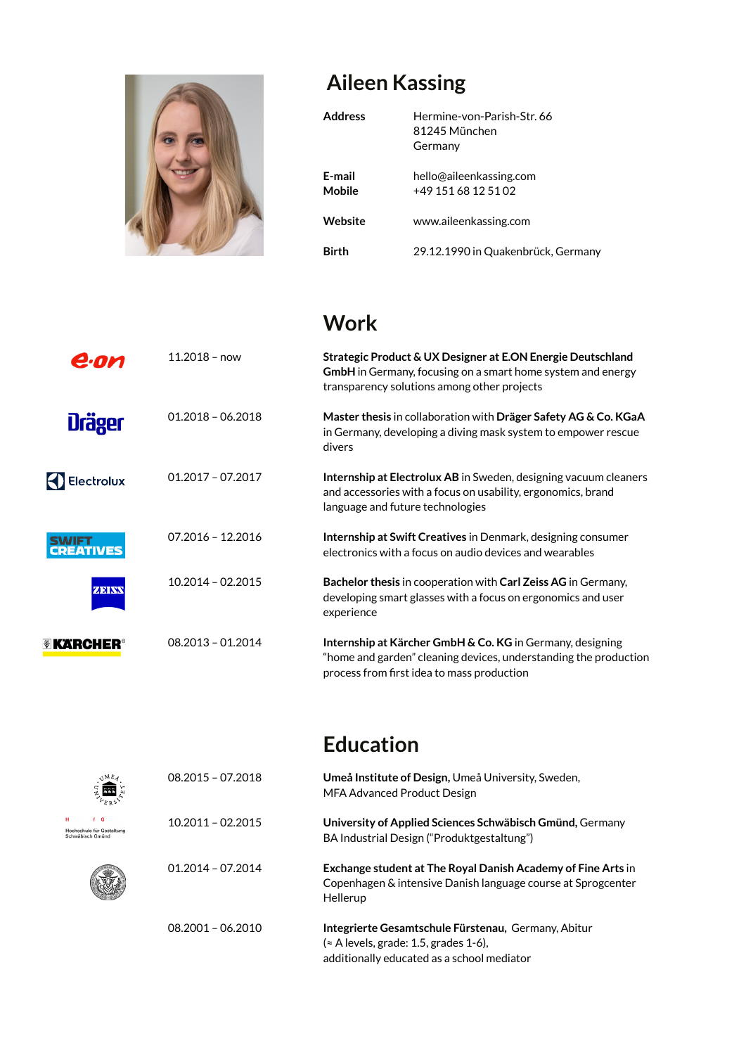

08.2001 – 06.2010

**Integrierte Gesamtschule Fürstenau,** Germany, Abitur (≈ A levels, grade: 1.5, grades 1-6), additionally educated as a school mediator